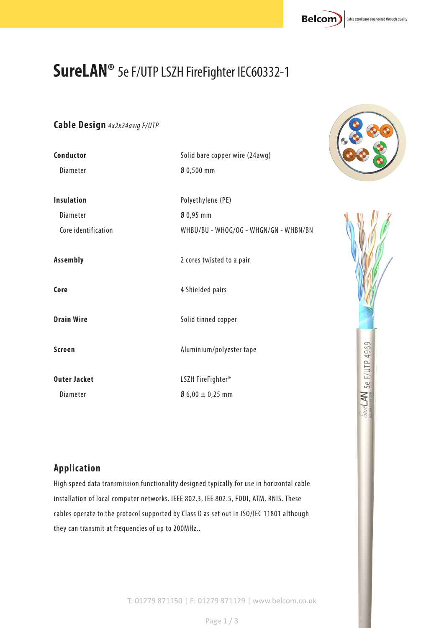# **SureLAN®** 5e F/UTP LSZH FireFighter IEC60332-1

#### **Cable Design** *4x2x24awg F/UTP*

| Conductor           | Solid bare copper wire (24awg)        |               |
|---------------------|---------------------------------------|---------------|
| Diameter            | Ø 0,500 mm                            |               |
| <b>Insulation</b>   | Polyethylene (PE)                     |               |
| Diameter            | $0,95$ mm                             |               |
| Core identification | WHBU/BU - WHOG/OG - WHGN/GN - WHBN/BN |               |
| Assembly            | 2 cores twisted to a pair             |               |
| Core                | 4 Shielded pairs                      |               |
| <b>Drain Wire</b>   | Solid tinned copper                   |               |
| <b>Screen</b>       | Aluminium/polyester tape              | 5e F/UTP 4969 |
| <b>Outer Jacket</b> | LSZH FireFighter <sup>®</sup>         |               |
| Diameter            | $0.6,00 \pm 0.25$ mm                  | ₹             |

#### **Application**

High speed data transmission functionality designed typically for use in horizontal cable installation of local computer networks. IEEE 802.3, IEE 802.5, FDDI, ATM, RNIS. These cables operate to the protocol supported by Class D as set out in ISO/IEC 11801 although they can transmit at frequencies of up to 200MHz..





T: 01279 871150 | F: 01279 871129 | www.belcom.co.uk

Page 1 / 3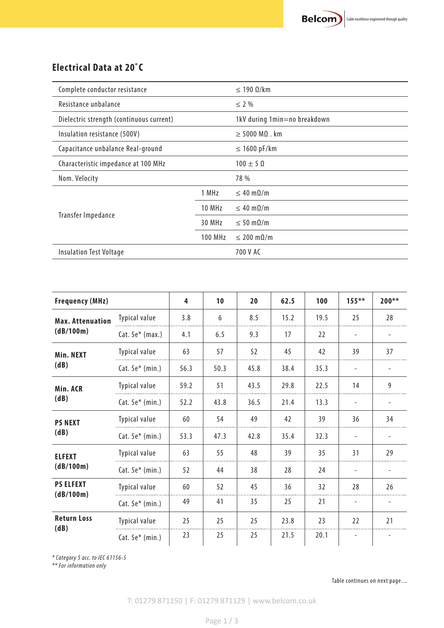#### **Electrical Data at 20˚C**

| Complete conductor resistance            |                | $\leq$ 190 $\Omega$ /km            |  |  |
|------------------------------------------|----------------|------------------------------------|--|--|
| Resistance unbalance                     |                | $\leq$ 2 %                         |  |  |
| Dielectric strength (continuous current) |                | 1kV during 1min=no breakdown       |  |  |
| Insulation resistance (500V)             |                | $\geq$ 5000 M $\Omega$ . km        |  |  |
| Capacitance unbalance Real-ground        |                | $\leq$ 1600 pF/km                  |  |  |
| Characteristic impedance at 100 MHz      |                | $100 \pm 50$                       |  |  |
| Nom. Velocity                            |                | 78 %                               |  |  |
|                                          | 1 MHz          | $\leq 40 \text{ m}\Omega/\text{m}$ |  |  |
| Transfer Impedance                       | 10 MHz         | $\leq 40 \text{ m}\Omega/\text{m}$ |  |  |
|                                          | 30 MHz         | $\leq 50 \text{ m}\Omega/\text{m}$ |  |  |
|                                          | <b>100 MHz</b> | $\leq$ 200 m $\Omega/m$            |  |  |
| <b>Insulation Test Voltage</b>           |                | 700 V AC                           |  |  |

| <b>Frequency (MHz)</b>               |                      | 4    | 10   | 20   | 62.5 | 100  | $155***$                 | $200**$                  |
|--------------------------------------|----------------------|------|------|------|------|------|--------------------------|--------------------------|
| <b>Max. Attenuation</b><br>(dB/100m) | Typical value        | 3.8  | 6    | 8.5  | 15.2 | 19.5 | 25                       | 28                       |
|                                      | $Cat. 5e*$ (max.)    | 4.1  | 6.5  | 9.3  | 17   | 22   | $\overline{\phantom{a}}$ | $\overline{\phantom{a}}$ |
| Min. NEXT<br>(dB)                    | Typical value        | 63   | 57   | 52   | 45   | 42   | 39                       | 37                       |
|                                      | Cat. $5e^*$ (min.)   | 56.3 | 50.3 | 45.8 | 38.4 | 35.3 | $\overline{\phantom{a}}$ | $\overline{\phantom{0}}$ |
| Min. ACR<br>(dB)                     | <b>Typical value</b> | 59.2 | 51   | 43.5 | 29.8 | 22.5 | 14                       | 9                        |
|                                      | $Cat. 5e* (min.)$    | 52.2 | 43.8 | 36.5 | 21.4 | 13.3 | $\overline{\phantom{a}}$ |                          |
| <b>PS NEXT</b><br>(dB)               | Typical value        | 60   | 54   | 49   | 42   | 39   | 36                       | 34                       |
|                                      | $Cat. 5e* (min.)$    | 53.3 | 47.3 | 42.8 | 35.4 | 32.3 | $\overline{\phantom{a}}$ |                          |
| <b>ELFEXT</b><br>(dB/100m)           | Typical value        | 63   | 55   | 48   | 39   | 35   | 31                       | 29                       |
|                                      | $Cat. 5e* (min.)$    | 52   | 44   | 38   | 28   | 24   |                          |                          |
| <b>PS ELFEXT</b><br>(dB/100m)        | Typical value        | 60   | 52   | 45   | 36   | 32   | 28                       | 26                       |
|                                      | $Cat. 5e* (min.)$    | 49   | 41   | 35   | 25   | 21   | $\overline{\phantom{a}}$ | $\overline{\phantom{a}}$ |
| <b>Return Loss</b><br>(dB)           | Typical value        | 25   | 25   | 25   | 23.8 | 23   | 22                       | 21                       |
|                                      | $Cat. 5e* (min.)$    | 23   | 25   | 25   | 21.5 | 20.1 |                          |                          |

*\* Category 5 acc. to IEC 61156-5*

*\*\* For information only*

Table continues on next page....